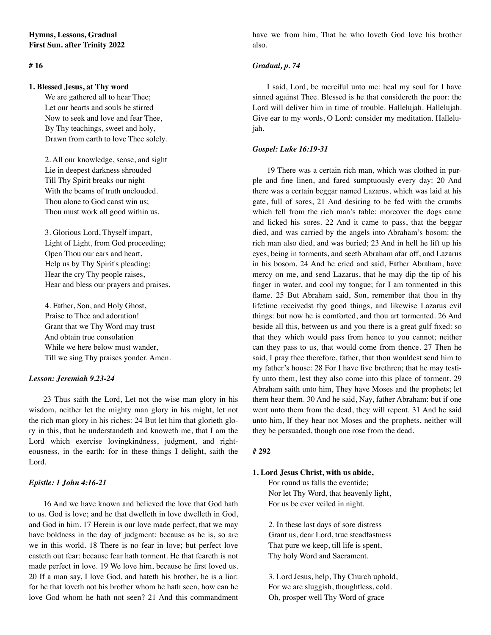# **# 16**

### **1. Blessed Jesus, at Thy word**

 We are gathered all to hear Thee; Let our hearts and souls be stirred Now to seek and love and fear Thee, By Thy teachings, sweet and holy, Drawn from earth to love Thee solely.

 2. All our knowledge, sense, and sight Lie in deepest darkness shrouded Till Thy Spirit breaks our night With the beams of truth unclouded. Thou alone to God canst win us; Thou must work all good within us.

 3. Glorious Lord, Thyself impart, Light of Light, from God proceeding; Open Thou our ears and heart, Help us by Thy Spirit's pleading; Hear the cry Thy people raises, Hear and bless our prayers and praises.

 4. Father, Son, and Holy Ghost, Praise to Thee and adoration! Grant that we Thy Word may trust And obtain true consolation While we here below must wander, Till we sing Thy praises yonder. Amen.

### *Lesson: Jeremiah 9.23-24*

23 Thus saith the Lord, Let not the wise man glory in his wisdom, neither let the mighty man glory in his might, let not the rich man glory in his riches: 24 But let him that glorieth glory in this, that he understandeth and knoweth me, that I am the Lord which exercise lovingkindness, judgment, and righteousness, in the earth: for in these things I delight, saith the Lord.

### *Epistle: 1 John 4:16-21*

16 And we have known and believed the love that God hath to us. God is love; and he that dwelleth in love dwelleth in God, and God in him. 17 Herein is our love made perfect, that we may have boldness in the day of judgment: because as he is, so are we in this world. 18 There is no fear in love; but perfect love casteth out fear: because fear hath torment. He that feareth is not made perfect in love. 19 We love him, because he first loved us. 20 If a man say, I love God, and hateth his brother, he is a liar: for he that loveth not his brother whom he hath seen, how can he love God whom he hath not seen? 21 And this commandment

have we from him, That he who loveth God love his brother also.

# *Gradual, p. 74*

I said, Lord, be merciful unto me: heal my soul for I have sinned against Thee. Blessed is he that considereth the poor: the Lord will deliver him in time of trouble. Hallelujah. Hallelujah. Give ear to my words, O Lord: consider my meditation. Hallelujah.

### *Gospel: Luke 16:19-31*

19 There was a certain rich man, which was clothed in purple and fine linen, and fared sumptuously every day: 20 And there was a certain beggar named Lazarus, which was laid at his gate, full of sores, 21 And desiring to be fed with the crumbs which fell from the rich man's table: moreover the dogs came and licked his sores. 22 And it came to pass, that the beggar died, and was carried by the angels into Abraham's bosom: the rich man also died, and was buried; 23 And in hell he lift up his eyes, being in torments, and seeth Abraham afar off, and Lazarus in his bosom. 24 And he cried and said, Father Abraham, have mercy on me, and send Lazarus, that he may dip the tip of his finger in water, and cool my tongue; for I am tormented in this flame. 25 But Abraham said, Son, remember that thou in thy lifetime receivedst thy good things, and likewise Lazarus evil things: but now he is comforted, and thou art tormented. 26 And beside all this, between us and you there is a great gulf fixed: so that they which would pass from hence to you cannot; neither can they pass to us, that would come from thence. 27 Then he said, I pray thee therefore, father, that thou wouldest send him to my father's house: 28 For I have five brethren; that he may testify unto them, lest they also come into this place of torment. 29 Abraham saith unto him, They have Moses and the prophets; let them hear them. 30 And he said, Nay, father Abraham: but if one went unto them from the dead, they will repent. 31 And he said unto him, If they hear not Moses and the prophets, neither will they be persuaded, though one rose from the dead.

### **# 292**

# **1. Lord Jesus Christ, with us abide,**

 For round us falls the eventide; Nor let Thy Word, that heavenly light, For us be ever veiled in night.

 2. In these last days of sore distress Grant us, dear Lord, true steadfastness That pure we keep, till life is spent, Thy holy Word and Sacrament.

 3. Lord Jesus, help, Thy Church uphold, For we are sluggish, thoughtless, cold. Oh, prosper well Thy Word of grace